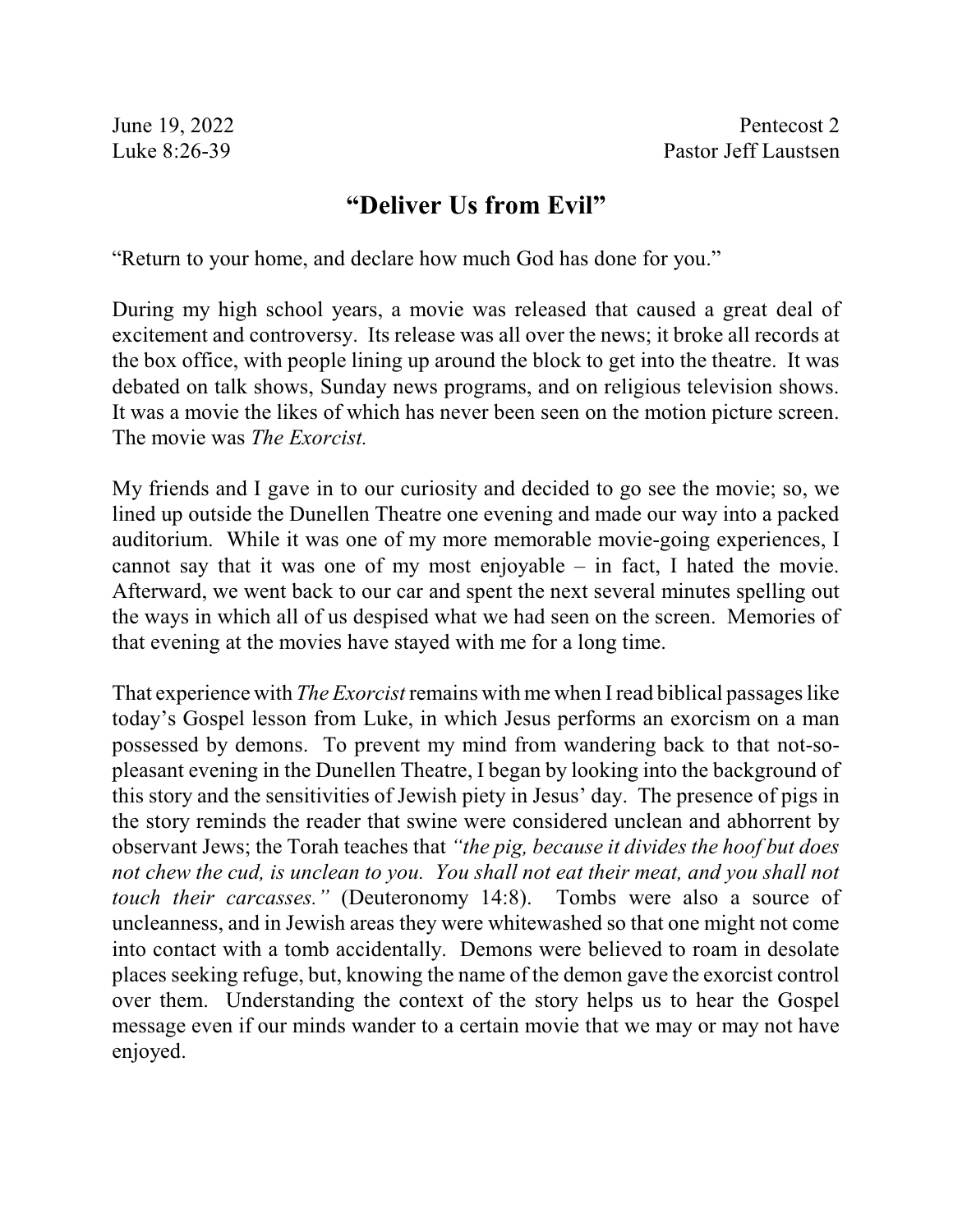## **"Deliver Us from Evil"**

"Return to your home, and declare how much God has done for you."

During my high school years, a movie was released that caused a great deal of excitement and controversy. Its release was all over the news; it broke all records at the box office, with people lining up around the block to get into the theatre. It was debated on talk shows, Sunday news programs, and on religious television shows. It was a movie the likes of which has never been seen on the motion picture screen. The movie was *The Exorcist.*

My friends and I gave in to our curiosity and decided to go see the movie; so, we lined up outside the Dunellen Theatre one evening and made our way into a packed auditorium. While it was one of my more memorable movie-going experiences, I cannot say that it was one of my most enjoyable – in fact, I hated the movie. Afterward, we went back to our car and spent the next several minutes spelling out the ways in which all of us despised what we had seen on the screen. Memories of that evening at the movies have stayed with me for a long time.

That experience with *The Exorcist* remains with me when I read biblical passages like today's Gospel lesson from Luke, in which Jesus performs an exorcism on a man possessed by demons. To prevent my mind from wandering back to that not-sopleasant evening in the Dunellen Theatre, I began by looking into the background of this story and the sensitivities of Jewish piety in Jesus' day. The presence of pigs in the story reminds the reader that swine were considered unclean and abhorrent by observant Jews; the Torah teaches that *"the pig, because it divides the hoof but does not chew the cud, is unclean to you. You shall not eat their meat, and you shall not touch their carcasses."* (Deuteronomy 14:8). Tombs were also a source of uncleanness, and in Jewish areas they were whitewashed so that one might not come into contact with a tomb accidentally. Demons were believed to roam in desolate places seeking refuge, but, knowing the name of the demon gave the exorcist control over them. Understanding the context of the story helps us to hear the Gospel message even if our minds wander to a certain movie that we may or may not have enjoyed.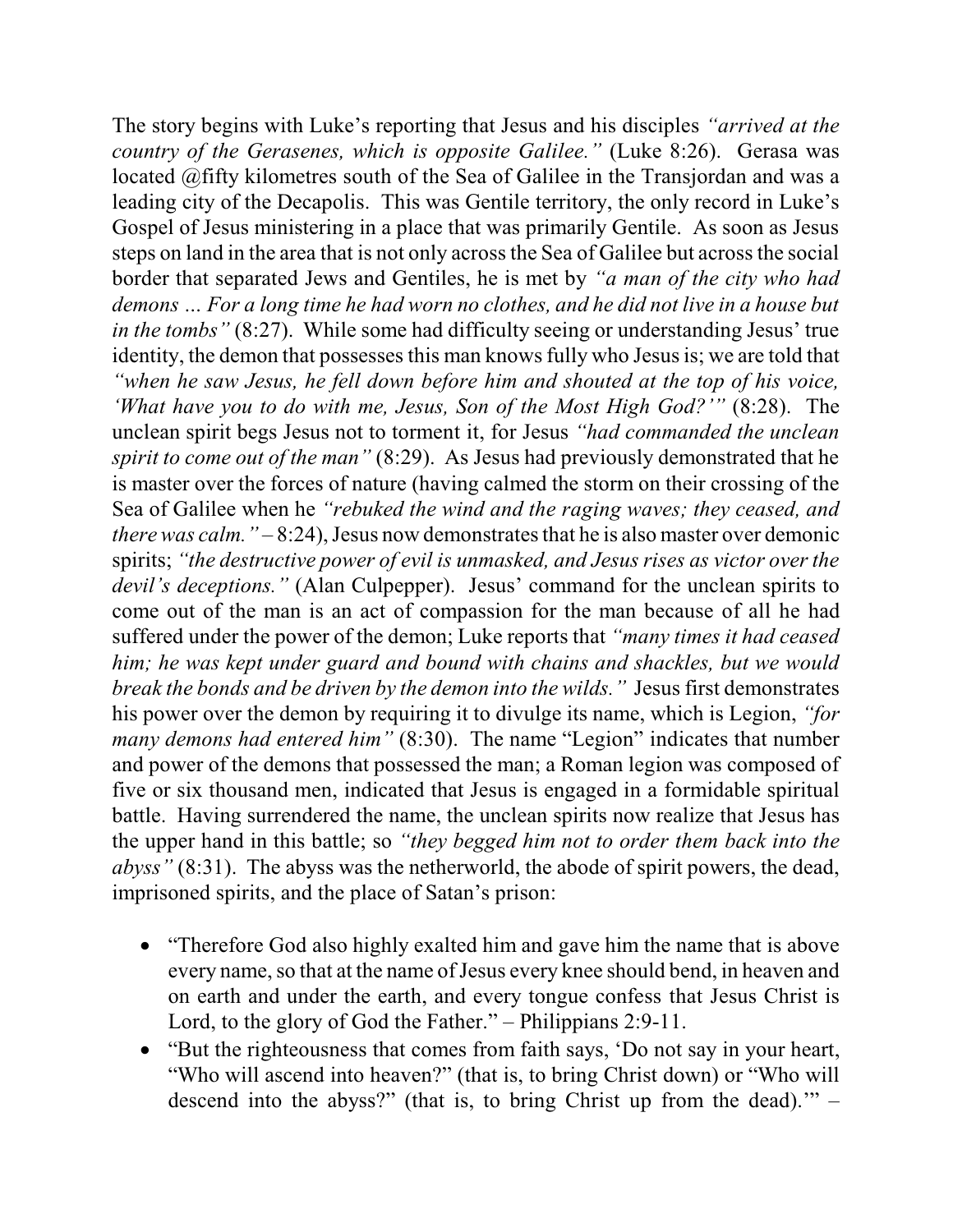The story begins with Luke's reporting that Jesus and his disciples *"arrived at the country of the Gerasenes, which is opposite Galilee."* (Luke 8:26). Gerasa was located @fifty kilometres south of the Sea of Galilee in the Transjordan and was a leading city of the Decapolis. This was Gentile territory, the only record in Luke's Gospel of Jesus ministering in a place that was primarily Gentile. As soon as Jesus steps on land in the area that is not only across the Sea of Galilee but acrossthe social border that separated Jews and Gentiles, he is met by *"a man of the city who had demons … For a long time he had worn no clothes, and he did not live in a house but in the tombs*" (8:27). While some had difficulty seeing or understanding Jesus' true identity, the demon that possesses this man knows fully who Jesus is; we are told that *"when he saw Jesus, he fell down before him and shouted at the top of his voice, 'What have you to do with me, Jesus, Son of the Most High God?'"* (8:28). The unclean spirit begs Jesus not to torment it, for Jesus *"had commanded the unclean spirit to come out of the man"* (8:29). As Jesus had previously demonstrated that he is master over the forces of nature (having calmed the storm on their crossing of the Sea of Galilee when he *"rebuked the wind and the raging waves; they ceased, and there was calm.*  $-8:24$ , Jesus now demonstrates that he is also master over demonic spirits; *"the destructive power of evil is unmasked, and Jesus rises as victor over the devil's deceptions."* (Alan Culpepper). Jesus' command for the unclean spirits to come out of the man is an act of compassion for the man because of all he had suffered under the power of the demon; Luke reports that *"many times it had ceased him; he was kept under guard and bound with chains and shackles, but we would break the bonds and be driven by the demon into the wilds."* Jesus first demonstrates his power over the demon by requiring it to divulge its name, which is Legion, *"for many demons had entered him"* (8:30). The name "Legion" indicates that number and power of the demons that possessed the man; a Roman legion was composed of five or six thousand men, indicated that Jesus is engaged in a formidable spiritual battle. Having surrendered the name, the unclean spirits now realize that Jesus has the upper hand in this battle; so *"they begged him not to order them back into the abyss"* (8:31). The abyss was the netherworld, the abode of spirit powers, the dead, imprisoned spirits, and the place of Satan's prison:

- "Therefore God also highly exalted him and gave him the name that is above every name, so that at the name of Jesus every knee should bend, in heaven and on earth and under the earth, and every tongue confess that Jesus Christ is Lord, to the glory of God the Father." – Philippians 2:9-11.
- · "But the righteousness that comes from faith says, 'Do not say in your heart, "Who will ascend into heaven?" (that is, to bring Christ down) or "Who will descend into the abyss?" (that is, to bring Christ up from the dead). $"$  –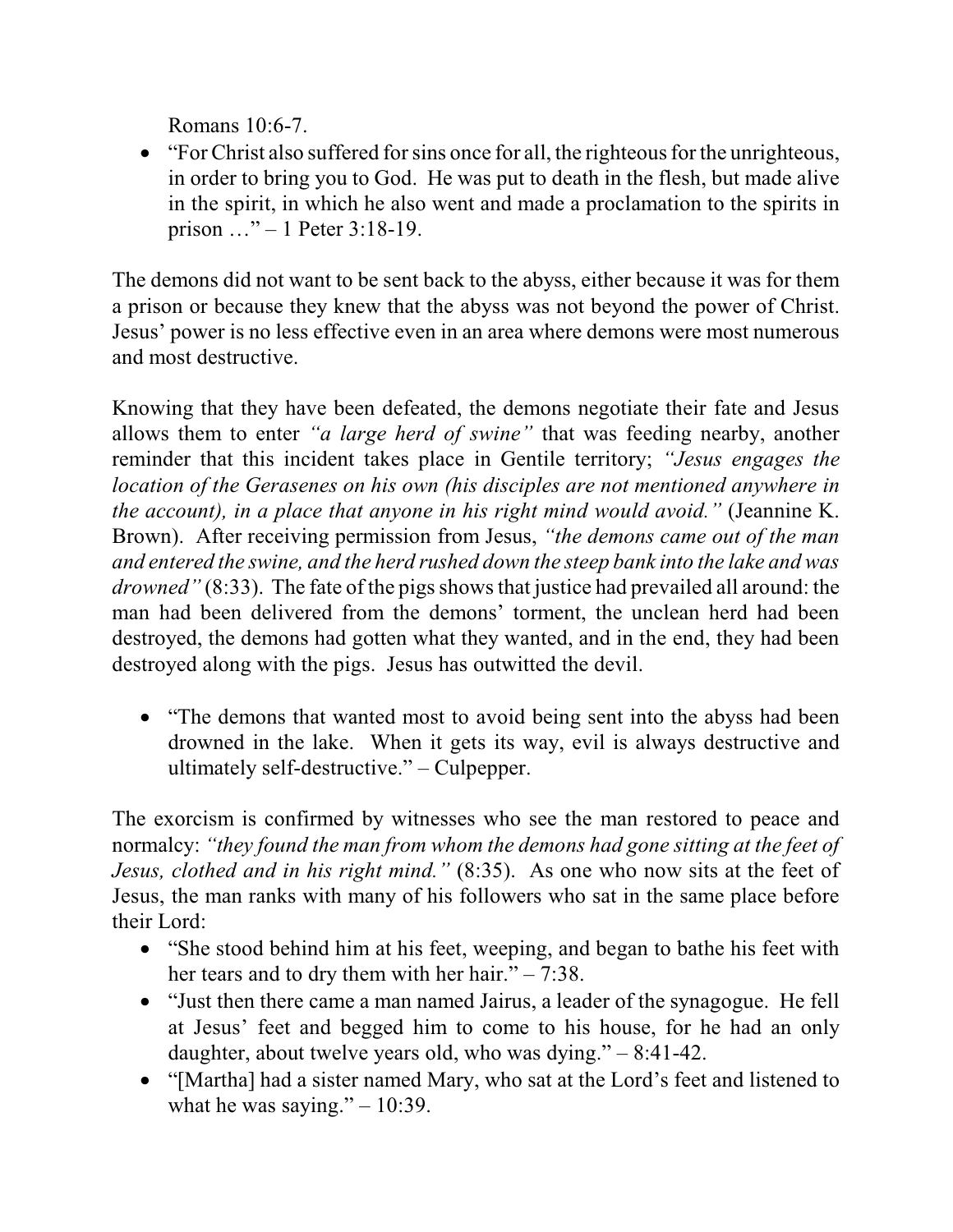Romans 10:6-7.

• "For Christ also suffered for sins once for all, the righteous for the unrighteous, in order to bring you to God. He was put to death in the flesh, but made alive in the spirit, in which he also went and made a proclamation to the spirits in prison …" – 1 Peter 3:18-19.

The demons did not want to be sent back to the abyss, either because it was for them a prison or because they knew that the abyss was not beyond the power of Christ. Jesus' power is no less effective even in an area where demons were most numerous and most destructive.

Knowing that they have been defeated, the demons negotiate their fate and Jesus allows them to enter *"a large herd of swine"* that was feeding nearby, another reminder that this incident takes place in Gentile territory; *"Jesus engages the location of the Gerasenes on his own (his disciples are not mentioned anywhere in the account), in a place that anyone in his right mind would avoid."* (Jeannine K. Brown). After receiving permission from Jesus, *"the demons came out of the man and entered the swine, and the herd rushed down the steep bank into the lake and was drowned"* (8:33). The fate of the pigs shows that justice had prevailed all around: the man had been delivered from the demons' torment, the unclean herd had been destroyed, the demons had gotten what they wanted, and in the end, they had been destroyed along with the pigs. Jesus has outwitted the devil.

• "The demons that wanted most to avoid being sent into the abyss had been drowned in the lake. When it gets its way, evil is always destructive and ultimately self-destructive." – Culpepper.

The exorcism is confirmed by witnesses who see the man restored to peace and normalcy: *"they found the man from whom the demons had gone sitting at the feet of Jesus, clothed and in his right mind."* (8:35). As one who now sits at the feet of Jesus, the man ranks with many of his followers who sat in the same place before their Lord:

- "She stood behind him at his feet, weeping, and began to bathe his feet with her tears and to dry them with her hair." – 7:38.
- · "Just then there came a man named Jairus, a leader of the synagogue. He fell at Jesus' feet and begged him to come to his house, for he had an only daughter, about twelve years old, who was dying." – 8:41-42.
- · "[Martha] had a sister named Mary, who sat at the Lord's feet and listened to what he was saying."  $-10:39$ .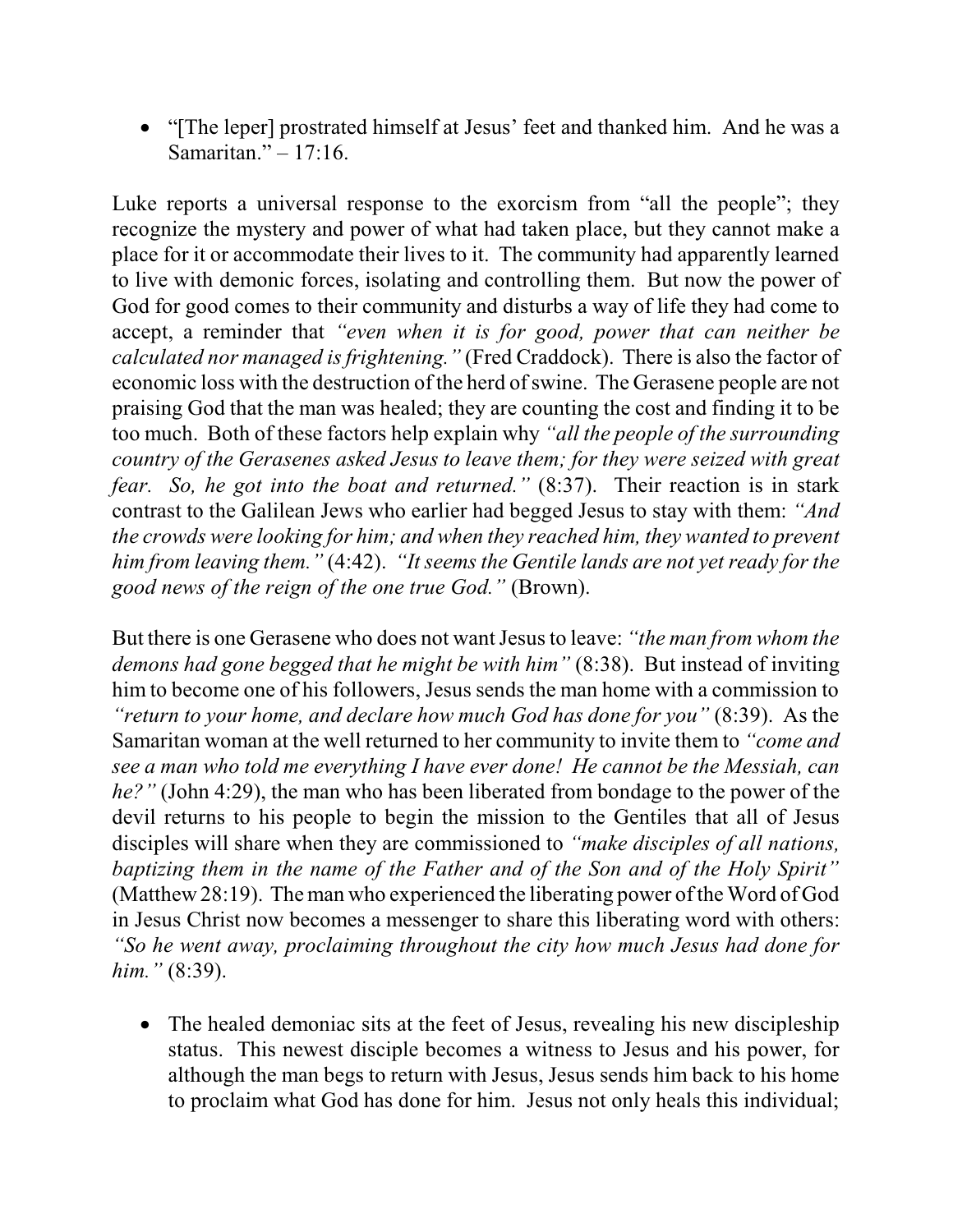• "[The leper] prostrated himself at Jesus' feet and thanked him. And he was a Samaritan." – 17:16.

Luke reports a universal response to the exorcism from "all the people"; they recognize the mystery and power of what had taken place, but they cannot make a place for it or accommodate their lives to it. The community had apparently learned to live with demonic forces, isolating and controlling them. But now the power of God for good comes to their community and disturbs a way of life they had come to accept, a reminder that *"even when it is for good, power that can neither be calculated nor managed isfrightening."* (Fred Craddock). There is also the factor of economic loss with the destruction of the herd of swine. The Gerasene people are not praising God that the man was healed; they are counting the cost and finding it to be too much. Both of these factors help explain why *"all the people of the surrounding country of the Gerasenes asked Jesus to leave them; for they were seized with great fear. So, he got into the boat and returned."* (8:37). Their reaction is in stark contrast to the Galilean Jews who earlier had begged Jesus to stay with them: *"And the crowds were looking for him; and when they reached him, they wanted to prevent him from leaving them."* (4:42). *"It seemsthe Gentile lands are not yet ready for the good news of the reign of the one true God."* (Brown).

But there is one Gerasene who does not wantJesus to leave: *"the man from whom the demons had gone begged that he might be with him"* (8:38). But instead of inviting him to become one of his followers, Jesus sends the man home with a commission to *"return to your home, and declare how much God has done for you"* (8:39). As the Samaritan woman at the well returned to her community to invite them to *"come and see a man who told me everything I have ever done! He cannot be the Messiah, can he?"* (John 4:29), the man who has been liberated from bondage to the power of the devil returns to his people to begin the mission to the Gentiles that all of Jesus disciples will share when they are commissioned to *"make disciples of all nations, baptizing them in the name of the Father and of the Son and of the Holy Spirit"* (Matthew 28:19). The man who experienced the liberating power of the Word of God in Jesus Christ now becomes a messenger to share this liberating word with others: *"So he went away, proclaiming throughout the city how much Jesus had done for him."* (8:39).

• The healed demoniac sits at the feet of Jesus, revealing his new discipleship status. This newest disciple becomes a witness to Jesus and his power, for although the man begs to return with Jesus, Jesus sends him back to his home to proclaim what God has done for him. Jesus not only heals this individual;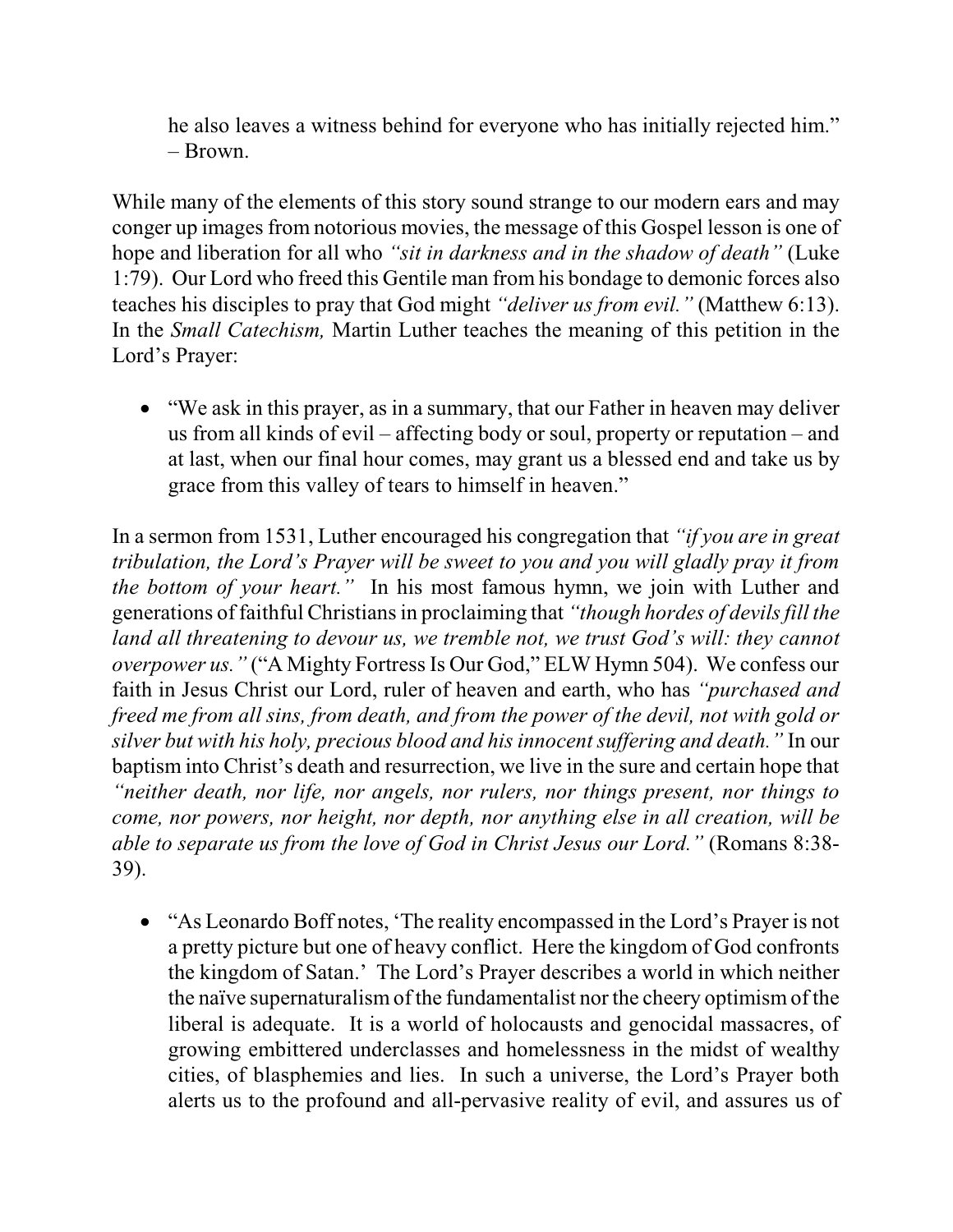he also leaves a witness behind for everyone who has initially rejected him." – Brown.

While many of the elements of this story sound strange to our modern ears and may conger up images from notorious movies, the message of this Gospel lesson is one of hope and liberation for all who *"sit in darkness and in the shadow of death"* (Luke 1:79). Our Lord who freed this Gentile man from his bondage to demonic forces also teaches his disciples to pray that God might *"deliver us from evil."* (Matthew 6:13). In the *Small Catechism,* Martin Luther teaches the meaning of this petition in the Lord's Prayer:

· "We ask in this prayer, as in a summary, that our Father in heaven may deliver us from all kinds of evil – affecting body or soul, property or reputation – and at last, when our final hour comes, may grant us a blessed end and take us by grace from this valley of tears to himself in heaven."

In a sermon from 1531, Luther encouraged his congregation that *"if you are in great tribulation, the Lord's Prayer will be sweet to you and you will gladly pray it from the bottom of your heart."* In his most famous hymn, we join with Luther and generations of faithful Christiansin proclaiming that *"though hordes of devilsfill the land all threatening to devour us, we tremble not, we trust God's will: they cannot overpower us.* " ("A Mighty Fortress Is Our God," ELW Hymn 504). We confess our faith in Jesus Christ our Lord, ruler of heaven and earth, who has *"purchased and freed me from all sins, from death, and from the power of the devil, not with gold or silver but with his holy, precious blood and his innocentsuffering and death."* In our baptism into Christ's death and resurrection, we live in the sure and certain hope that *"neither death, nor life, nor angels, nor rulers, nor things present, nor things to come, nor powers, nor height, nor depth, nor anything else in all creation, will be able to separate us from the love of God in Christ Jesus our Lord."* (Romans 8:38- 39).

• "As Leonardo Boff notes, 'The reality encompassed in the Lord's Prayer is not a pretty picture but one of heavy conflict. Here the kingdom of God confronts the kingdom of Satan.' The Lord's Prayer describes a world in which neither the naïve supernaturalism of the fundamentalist nor the cheery optimism of the liberal is adequate. It is a world of holocausts and genocidal massacres, of growing embittered underclasses and homelessness in the midst of wealthy cities, of blasphemies and lies. In such a universe, the Lord's Prayer both alerts us to the profound and all-pervasive reality of evil, and assures us of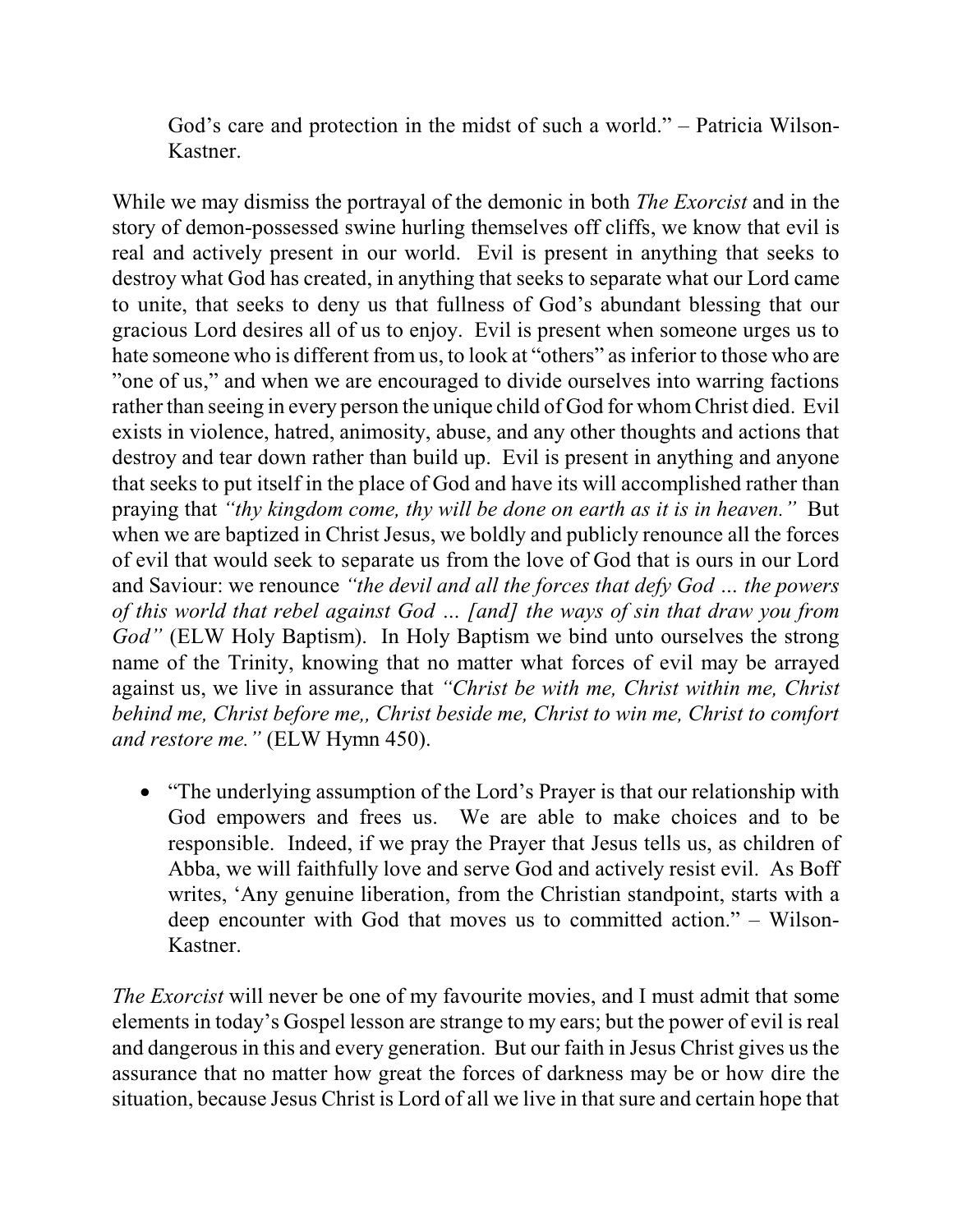God's care and protection in the midst of such a world." – Patricia Wilson-Kastner.

While we may dismiss the portrayal of the demonic in both *The Exorcist* and in the story of demon-possessed swine hurling themselves off cliffs, we know that evil is real and actively present in our world. Evil is present in anything that seeks to destroy what God has created, in anything that seeks to separate what our Lord came to unite, that seeks to deny us that fullness of God's abundant blessing that our gracious Lord desires all of us to enjoy. Evil is present when someone urges us to hate someone who is different from us, to look at "others" as inferior to those who are "one of us," and when we are encouraged to divide ourselves into warring factions rather than seeing in every person the unique child of God for whomChrist died. Evil exists in violence, hatred, animosity, abuse, and any other thoughts and actions that destroy and tear down rather than build up. Evil is present in anything and anyone that seeks to put itself in the place of God and have its will accomplished rather than praying that *"thy kingdom come, thy will be done on earth as it is in heaven."* But when we are baptized in Christ Jesus, we boldly and publicly renounce all the forces of evil that would seek to separate us from the love of God that is ours in our Lord and Saviour: we renounce *"the devil and all the forces that defy God … the powers of this world that rebel against God … [and] the ways of sin that draw you from God"* (ELW Holy Baptism). In Holy Baptism we bind unto ourselves the strong name of the Trinity, knowing that no matter what forces of evil may be arrayed against us, we live in assurance that *"Christ be with me, Christ within me, Christ behind me, Christ before me,, Christ beside me, Christ to win me, Christ to comfort and restore me."* (ELW Hymn 450).

• "The underlying assumption of the Lord's Prayer is that our relationship with God empowers and frees us. We are able to make choices and to be responsible. Indeed, if we pray the Prayer that Jesus tells us, as children of Abba, we will faithfully love and serve God and actively resist evil. As Boff writes, 'Any genuine liberation, from the Christian standpoint, starts with a deep encounter with God that moves us to committed action." – Wilson-Kastner.

*The Exorcist* will never be one of my favourite movies, and I must admit that some elements in today's Gospel lesson are strange to my ears; but the power of evil is real and dangerous in this and every generation. But our faith in Jesus Christ gives us the assurance that no matter how great the forces of darkness may be or how dire the situation, because Jesus Christ is Lord of all we live in that sure and certain hope that